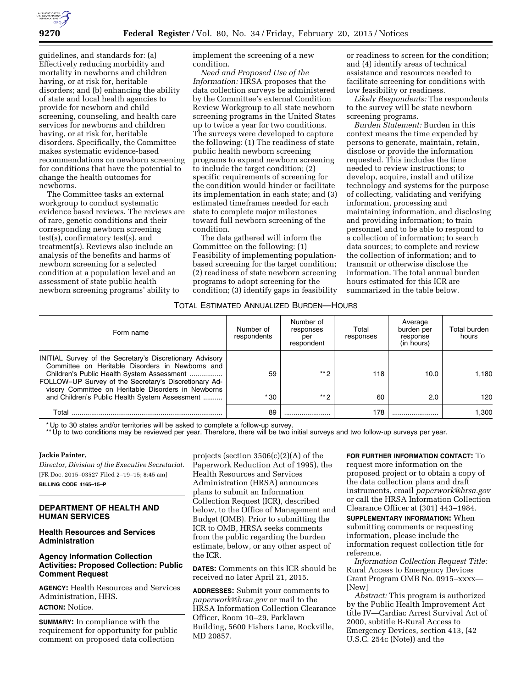

guidelines, and standards for: (a) Effectively reducing morbidity and mortality in newborns and children having, or at risk for, heritable disorders; and (b) enhancing the ability of state and local health agencies to provide for newborn and child screening, counseling, and health care services for newborns and children having, or at risk for, heritable disorders. Specifically, the Committee makes systematic evidence-based recommendations on newborn screening for conditions that have the potential to change the health outcomes for newborns.

The Committee tasks an external workgroup to conduct systematic evidence based reviews. The reviews are of rare, genetic conditions and their corresponding newborn screening test(s), confirmatory test(s), and treatment(s). Reviews also include an analysis of the benefits and harms of newborn screening for a selected condition at a population level and an assessment of state public health newborn screening programs' ability to

implement the screening of a new condition.

*Need and Proposed Use of the Information:* HRSA proposes that the data collection surveys be administered by the Committee's external Condition Review Workgroup to all state newborn screening programs in the United States up to twice a year for two conditions. The surveys were developed to capture the following: (1) The readiness of state public health newborn screening programs to expand newborn screening to include the target condition; (2) specific requirements of screening for the condition would hinder or facilitate its implementation in each state; and (3) estimated timeframes needed for each state to complete major milestones toward full newborn screening of the condition.

The data gathered will inform the Committee on the following: (1) Feasibility of implementing populationbased screening for the target condition; (2) readiness of state newborn screening programs to adopt screening for the condition; (3) identify gaps in feasibility

or readiness to screen for the condition; and (4) identify areas of technical assistance and resources needed to facilitate screening for conditions with low feasibility or readiness.

*Likely Respondents:* The respondents to the survey will be state newborn screening programs.

*Burden Statement:* Burden in this context means the time expended by persons to generate, maintain, retain, disclose or provide the information requested. This includes the time needed to review instructions; to develop, acquire, install and utilize technology and systems for the purpose of collecting, validating and verifying information, processing and maintaining information, and disclosing and providing information; to train personnel and to be able to respond to a collection of information; to search data sources; to complete and review the collection of information; and to transmit or otherwise disclose the information. The total annual burden hours estimated for this ICR are summarized in the table below.

### TOTAL ESTIMATED ANNUALIZED BURDEN—HOURS

| Form name                                                                                                                                                                                                                                                                  | Number of<br>respondents | Number of<br>responses<br>per<br>respondent | Total<br>responses | Average<br>burden per<br>response<br>(in hours) | Total burden<br>hours |
|----------------------------------------------------------------------------------------------------------------------------------------------------------------------------------------------------------------------------------------------------------------------------|--------------------------|---------------------------------------------|--------------------|-------------------------------------------------|-----------------------|
| INITIAL Survey of the Secretary's Discretionary Advisory<br>Committee on Heritable Disorders in Newborns and<br>Children's Public Health System Assessment<br>FOLLOW-UP Survey of the Secretary's Discretionary Ad-<br>visory Committee on Heritable Disorders in Newborns | 59                       | $**$ Q                                      | 118                | 10.0                                            | 1.180                 |
| and Children's Public Health System Assessment                                                                                                                                                                                                                             | $*30$                    | $**$ Q                                      | 60                 | 2.0                                             | 120                   |
| Total                                                                                                                                                                                                                                                                      | 89                       |                                             | 178                |                                                 | .300 ا                |

\* Up to 30 states and/or territories will be asked to complete a follow-up survey.

\*\* Up to two conditions may be reviewed per year. Therefore, there will be two initial surveys and two follow-up surveys per year.

#### **Jackie Painter,**

*Director, Division of the Executive Secretariat.*  [FR Doc. 2015–03527 Filed 2–19–15; 8:45 am] **BILLING CODE 4165–15–P** 

# **DEPARTMENT OF HEALTH AND HUMAN SERVICES**

### **Health Resources and Services Administration**

### **Agency Information Collection Activities: Proposed Collection: Public Comment Request**

**AGENCY:** Health Resources and Services Administration, HHS. **ACTION:** Notice.

**SUMMARY:** In compliance with the requirement for opportunity for public comment on proposed data collection

projects (section 3506(c)(2)(A) of the Paperwork Reduction Act of 1995), the Health Resources and Services Administration (HRSA) announces plans to submit an Information Collection Request (ICR), described below, to the Office of Management and Budget (OMB). Prior to submitting the ICR to OMB, HRSA seeks comments from the public regarding the burden estimate, below, or any other aspect of the ICR.

**DATES:** Comments on this ICR should be received no later April 21, 2015.

**ADDRESSES:** Submit your comments to *[paperwork@hrsa.gov](mailto:paperwork@hrsa.gov)* or mail to the HRSA Information Collection Clearance Officer, Room 10–29, Parklawn Building, 5600 Fishers Lane, Rockville, MD 20857.

# **FOR FURTHER INFORMATION CONTACT:** To

request more information on the proposed project or to obtain a copy of the data collection plans and draft instruments, email *[paperwork@hrsa.gov](mailto:paperwork@hrsa.gov)*  or call the HRSA Information Collection Clearance Officer at (301) 443–1984.

**SUPPLEMENTARY INFORMATION:** When submitting comments or requesting information, please include the information request collection title for reference.

*Information Collection Request Title:*  Rural Access to Emergency Devices Grant Program OMB No. 0915–xxxx— [New]

*Abstract:* This program is authorized by the Public Health Improvement Act title IV—Cardiac Arrest Survival Act of 2000, subtitle B-Rural Access to Emergency Devices, section 413, (42 U.S.C. 254c (Note)) and the